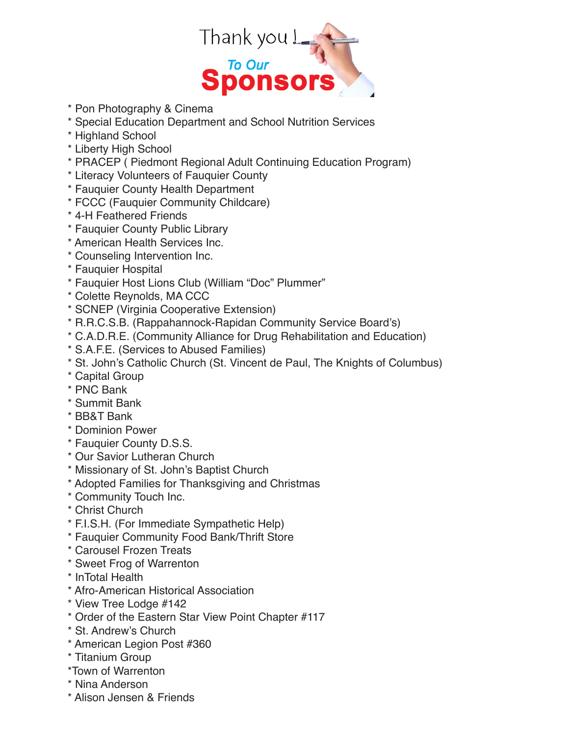

- \* Pon Photography & Cinema
- \* Special Education Department and School Nutrition Services
- \* Highland School
- \* Liberty High School
- \* PRACEP ( Piedmont Regional Adult Continuing Education Program)
- \* Literacy Volunteers of Fauquier County
- \* Fauquier County Health Department
- \* FCCC (Fauquier Community Childcare)
- \* 4-H Feathered Friends
- \* Fauquier County Public Library
- \* American Health Services Inc.
- \* Counseling Intervention Inc.
- \* Fauquier Hospital
- \* Fauquier Host Lions Club (William "Doc" Plummer"
- \* Colette Reynolds, MA CCC
- \* SCNEP (Virginia Cooperative Extension)
- \* R.R.C.S.B. (Rappahannock-Rapidan Community Service Board's)
- \* C.A.D.R.E. (Community Alliance for Drug Rehabilitation and Education)
- \* S.A.F.E. (Services to Abused Families)
- \* St. John's Catholic Church (St. Vincent de Paul, The Knights of Columbus)
- \* Capital Group
- \* PNC Bank
- \* Summit Bank
- \* BB&T Bank
- \* Dominion Power
- \* Fauquier County D.S.S.
- \* Our Savior Lutheran Church
- \* Missionary of St. John's Baptist Church
- \* Adopted Families for Thanksgiving and Christmas
- \* Community Touch Inc.
- \* Christ Church
- \* F.I.S.H. (For Immediate Sympathetic Help)
- \* Fauquier Community Food Bank/Thrift Store
- \* Carousel Frozen Treats
- \* Sweet Frog of Warrenton
- \* InTotal Health
- \* Afro-American Historical Association
- \* View Tree Lodge #142
- \* Order of the Eastern Star View Point Chapter #117
- \* St. Andrew's Church
- \* American Legion Post #360
- \* Titanium Group
- \*Town of Warrenton
- \* Nina Anderson
- \* Alison Jensen & Friends